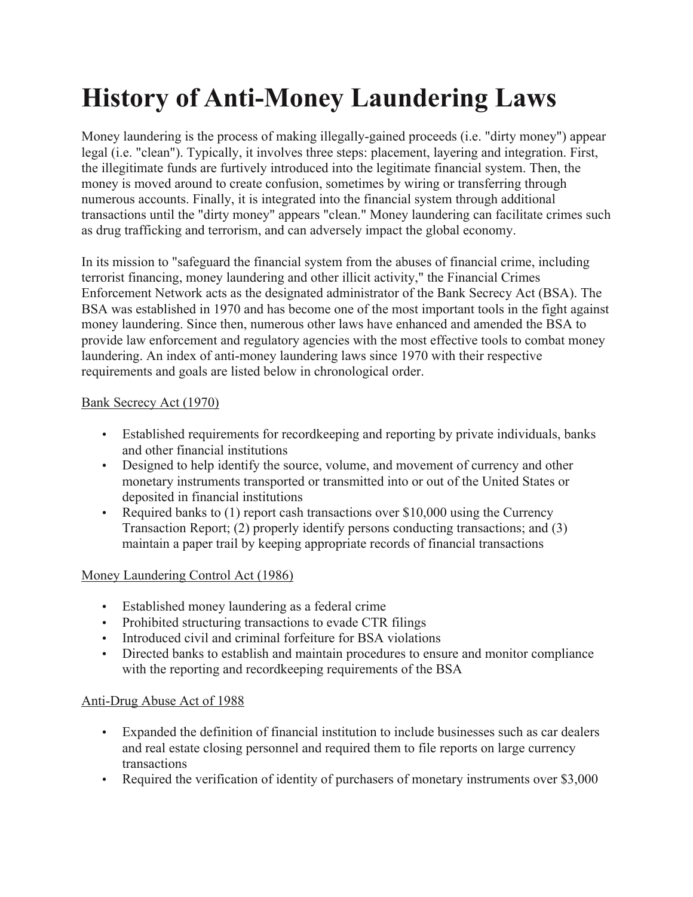# **History of Anti-Money Laundering Laws**

Money laundering is the process of making illegally-gained proceeds (i.e. "dirty money") appear legal (i.e. "clean"). Typically, it involves three steps: placement, layering and integration. First, the illegitimate funds are furtively introduced into the legitimate financial system. Then, the money is moved around to create confusion, sometimes by wiring or transferring through numerous accounts. Finally, it is integrated into the financial system through additional transactions until the "dirty money" appears "clean." Money laundering can facilitate crimes such as drug trafficking and terrorism, and can adversely impact the global economy.

In its mission to "safeguard the financial system from the abuses of financial crime, including terrorist financing, money laundering and other illicit activity," the Financial Crimes Enforcement Network acts as the designated administrator of the Bank Secrecy Act (BSA). The BSA was established in 1970 and has become one of the most important tools in the fight against money laundering. Since then, numerous other laws have enhanced and amended the BSA to provide law enforcement and regulatory agencies with the most effective tools to combat money laundering. An index of anti-money laundering laws since 1970 with their respective requirements and goals are listed below in chronological order.

## Bank Secrecy Act (1970)

- Established requirements for recordkeeping and reporting by private individuals, banks and other financial institutions
- Designed to help identify the source, volume, and movement of currency and other monetary instruments transported or transmitted into or out of the United States or deposited in financial institutions
- Required banks to (1) report cash transactions over \$10,000 using the Currency Transaction Report; (2) properly identify persons conducting transactions; and (3) maintain a paper trail by keeping appropriate records of financial transactions

# Money Laundering Control Act (1986)

- Established money laundering as a federal crime
- Prohibited structuring transactions to evade CTR filings
- Introduced civil and criminal forfeiture for BSA violations
- Directed banks to establish and maintain procedures to ensure and monitor compliance with the reporting and recordkeeping requirements of the BSA

# Anti-Drug Abuse Act of 1988

- Expanded the definition of financial institution to include businesses such as car dealers and real estate closing personnel and required them to file reports on large currency transactions
- Required the verification of identity of purchasers of monetary instruments over \$3,000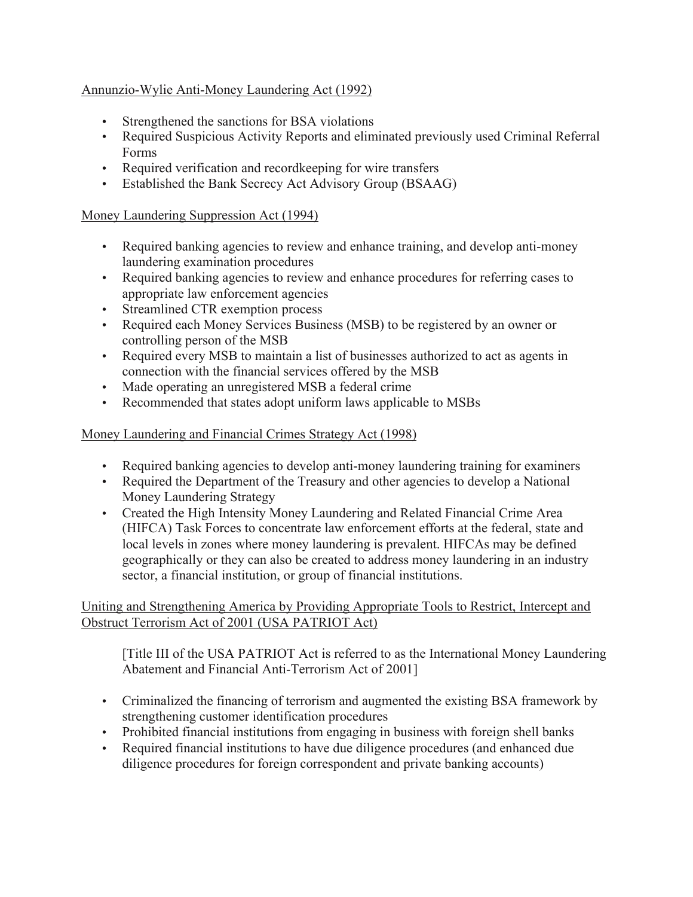## Annunzio-Wylie Anti-Money Laundering Act (1992)

- Strengthened the sanctions for BSA violations
- Required Suspicious Activity Reports and eliminated previously used Criminal Referral Forms
- Required verification and recordkeeping for wire transfers
- Established the Bank Secrecy Act Advisory Group (BSAAG)

#### Money Laundering Suppression Act (1994)

- Required banking agencies to review and enhance training, and develop anti-money laundering examination procedures
- Required banking agencies to review and enhance procedures for referring cases to appropriate law enforcement agencies
- Streamlined CTR exemption process
- Required each Money Services Business (MSB) to be registered by an owner or controlling person of the MSB
- Required every MSB to maintain a list of businesses authorized to act as agents in connection with the financial services offered by the MSB
- Made operating an unregistered MSB a federal crime
- Recommended that states adopt uniform laws applicable to MSBs

#### Money Laundering and Financial Crimes Strategy Act (1998)

- Required banking agencies to develop anti-money laundering training for examiners
- Required the Department of the Treasury and other agencies to develop a National Money Laundering Strategy
- Created the High Intensity Money Laundering and Related Financial Crime Area (HIFCA) Task Forces to concentrate law enforcement efforts at the federal, state and local levels in zones where money laundering is prevalent. HIFCAs may be defined geographically or they can also be created to address money laundering in an industry sector, a financial institution, or group of financial institutions.

## Uniting and Strengthening America by Providing Appropriate Tools to Restrict, Intercept and Obstruct Terrorism Act of 2001 (USA PATRIOT Act)

[Title III of the USA PATRIOT Act is referred to as the International Money Laundering Abatement and Financial Anti-Terrorism Act of 2001]

- Criminalized the financing of terrorism and augmented the existing BSA framework by strengthening customer identification procedures
- Prohibited financial institutions from engaging in business with foreign shell banks
- Required financial institutions to have due diligence procedures (and enhanced due diligence procedures for foreign correspondent and private banking accounts)